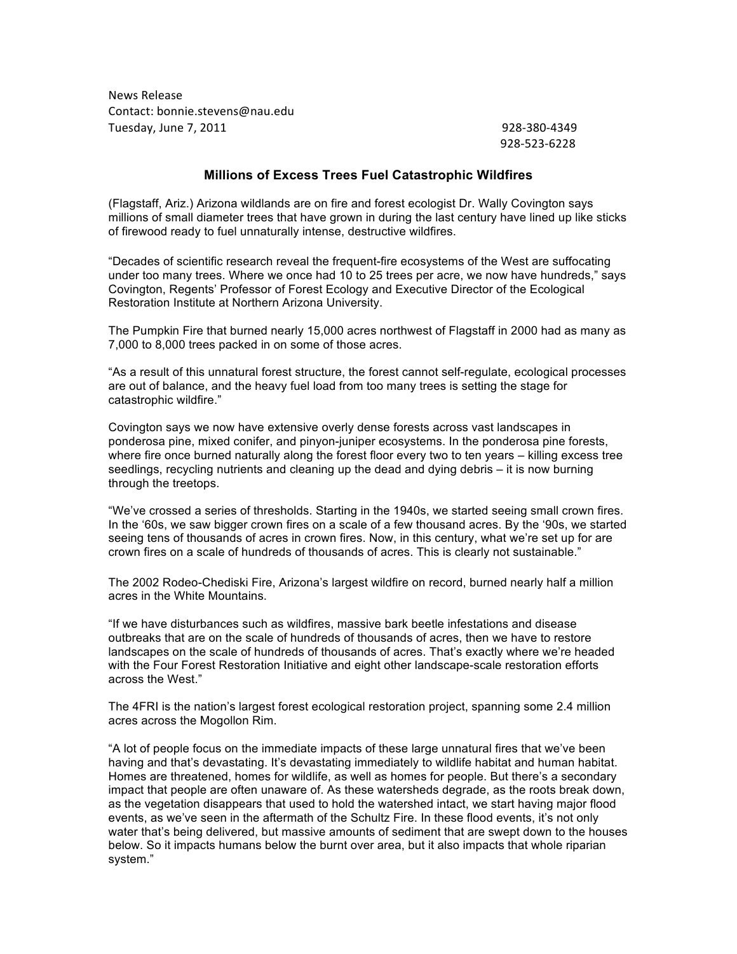News Release Contact: bonnie.stevens@nau.edu Tuesday,%June%7,%2011%%%%%%%%%%%%%%%%%%%%%%%%%%%%%%%%%%%%%%%%%%%%%%%%%%%%%%%%%%%%%%%%%%%%%%%%%%%%%%%%%%% %%%%%%%%928@380@4349

928-523-6228

## **Millions of Excess Trees Fuel Catastrophic Wildfires**

(Flagstaff, Ariz.) Arizona wildlands are on fire and forest ecologist Dr. Wally Covington says millions of small diameter trees that have grown in during the last century have lined up like sticks of firewood ready to fuel unnaturally intense, destructive wildfires.

"Decades of scientific research reveal the frequent-fire ecosystems of the West are suffocating under too many trees. Where we once had 10 to 25 trees per acre, we now have hundreds," says Covington, Regents' Professor of Forest Ecology and Executive Director of the Ecological Restoration Institute at Northern Arizona University.

The Pumpkin Fire that burned nearly 15,000 acres northwest of Flagstaff in 2000 had as many as 7,000 to 8,000 trees packed in on some of those acres.

"As a result of this unnatural forest structure, the forest cannot self-regulate, ecological processes are out of balance, and the heavy fuel load from too many trees is setting the stage for catastrophic wildfire."

Covington says we now have extensive overly dense forests across vast landscapes in ponderosa pine, mixed conifer, and pinyon-juniper ecosystems. In the ponderosa pine forests, where fire once burned naturally along the forest floor every two to ten years – killing excess tree seedlings, recycling nutrients and cleaning up the dead and dying debris – it is now burning through the treetops.

"We've crossed a series of thresholds. Starting in the 1940s, we started seeing small crown fires. In the '60s, we saw bigger crown fires on a scale of a few thousand acres. By the '90s, we started seeing tens of thousands of acres in crown fires. Now, in this century, what we're set up for are crown fires on a scale of hundreds of thousands of acres. This is clearly not sustainable."

The 2002 Rodeo-Chediski Fire, Arizona's largest wildfire on record, burned nearly half a million acres in the White Mountains.

"If we have disturbances such as wildfires, massive bark beetle infestations and disease outbreaks that are on the scale of hundreds of thousands of acres, then we have to restore landscapes on the scale of hundreds of thousands of acres. That's exactly where we're headed with the Four Forest Restoration Initiative and eight other landscape-scale restoration efforts across the West."

The 4FRI is the nation's largest forest ecological restoration project, spanning some 2.4 million acres across the Mogollon Rim.

"A lot of people focus on the immediate impacts of these large unnatural fires that we've been having and that's devastating. It's devastating immediately to wildlife habitat and human habitat. Homes are threatened, homes for wildlife, as well as homes for people. But there's a secondary impact that people are often unaware of. As these watersheds degrade, as the roots break down, as the vegetation disappears that used to hold the watershed intact, we start having major flood events, as we've seen in the aftermath of the Schultz Fire. In these flood events, it's not only water that's being delivered, but massive amounts of sediment that are swept down to the houses below. So it impacts humans below the burnt over area, but it also impacts that whole riparian system."